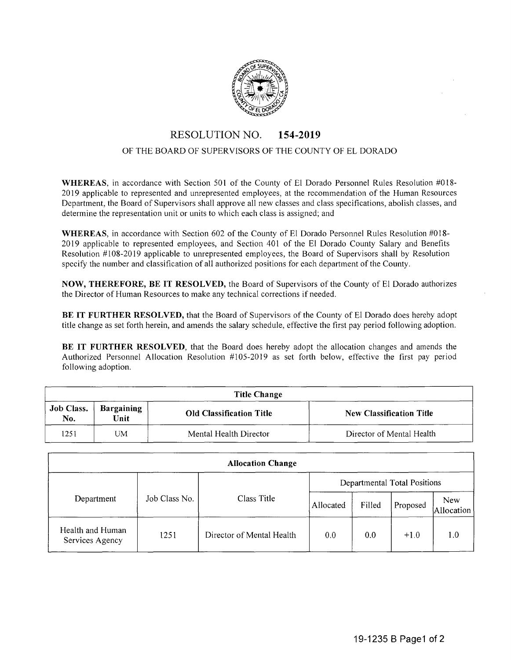

## RESOLUTION NO. **154-2019**

## OF THE BOARD OF SUPERVISORS OF THE COUNTY OF EL DORADO

**WHEREAS,** in accordance with Section 501 of the County of El Dorado Personnel Rules Resolution #018- 2019 applicable to represented and unrepresented employees, at the recommendation of the Human Resources Department, the Board of Supervisors shall approve all new classes and class specifications, abolish classes, and determine the representation unit or units to which each class is assigned; and

**WHEREAS,** in accordance with Section 602 of the County of El Dorado Personnel Rules Resolution #018- 2019 applicable to represented employees, and Section 401 of the El Dorado County Salary and Benefits Resolution #108-2019 applicable to unrepresented employees, the Board of Supervisors shall by Resolution specify the number and classification of all authorized positions for each department of the County.

**NOW, THEREFORE, BE IT RESOLVED,** the Board of Supervisors of the County of El Dorado authorizes the Director of Human Resources to make any technical corrections if needed.

**BE IT FURTHER RESOLVED,** that the Board of Supervisors of the County of El Dorado does hereby adopt title change as set forth herein, and amends the salary schedule, effective the first pay period following adoption.

**BE IT FURTHER RESOLVED,** that the Board does hereby adopt the allocation changes and amends the Authorized Personnel Allocation Resolution #105-2019 as set forth below, effective the first pay period following adoption.

| <b>Title Change</b>      |                    |                                 |                                 |  |  |  |  |  |
|--------------------------|--------------------|---------------------------------|---------------------------------|--|--|--|--|--|
| <b>Job Class.</b><br>No. | Bargaining<br>Unit | <b>Old Classification Title</b> | <b>New Classification Title</b> |  |  |  |  |  |
| 1251                     | UM                 | Mental Health Director          | Director of Mental Health       |  |  |  |  |  |

| <b>Allocation Change</b>            |               |                           |                              |        |          |                          |  |  |  |  |
|-------------------------------------|---------------|---------------------------|------------------------------|--------|----------|--------------------------|--|--|--|--|
|                                     | Job Class No. | Class Title               | Departmental Total Positions |        |          |                          |  |  |  |  |
| Department                          |               |                           | Allocated                    | Filled | Proposed | <b>New</b><br>Allocation |  |  |  |  |
| Health and Human<br>Services Agency | 1251          | Director of Mental Health | 0.0                          | 0.0    | $+1.0$   | 1.0                      |  |  |  |  |